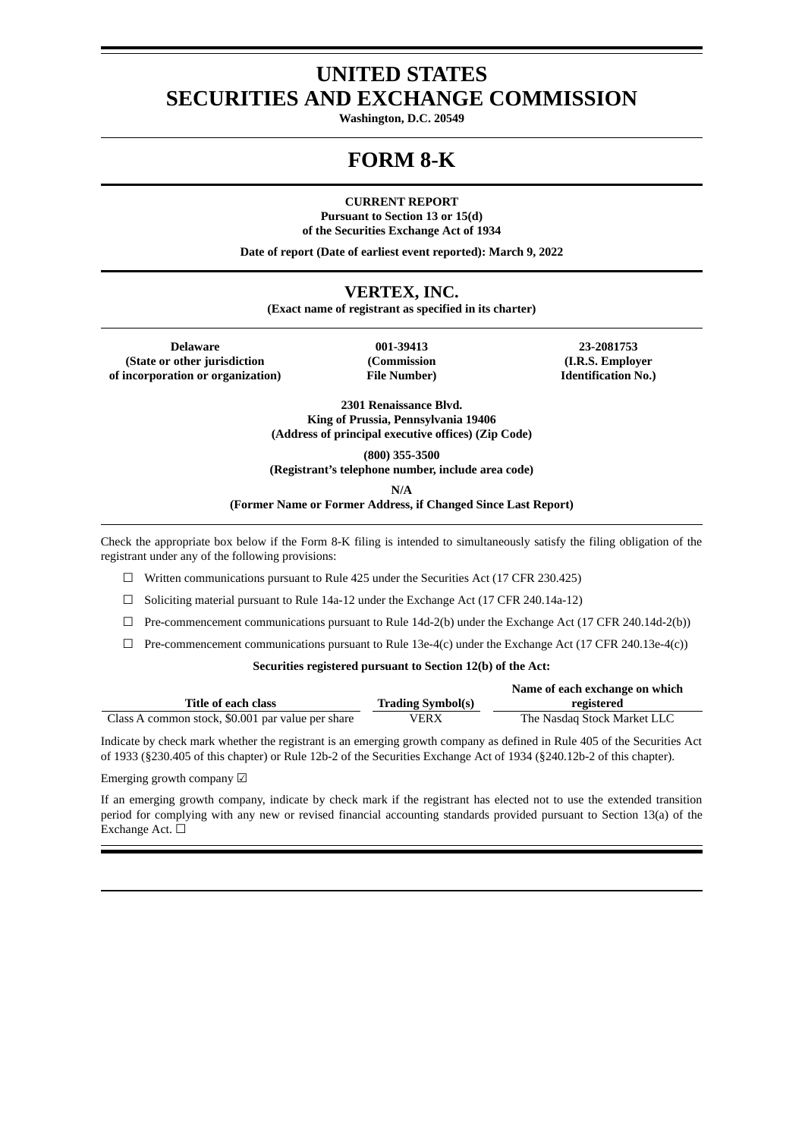# **UNITED STATES SECURITIES AND EXCHANGE COMMISSION**

**Washington, D.C. 20549**

# **FORM 8-K**

**CURRENT REPORT**

**Pursuant to Section 13 or 15(d) of the Securities Exchange Act of 1934**

**Date of report (Date of earliest event reported): March 9, 2022**

# **VERTEX, INC.**

**(Exact name of registrant as specified in its charter)**

**Delaware 001-39413 23-2081753 (State or other jurisdiction of incorporation or organization)**

**(Commission File Number)**

**(I.R.S. Employer Identification No.)**

**2301 Renaissance Blvd. King of Prussia, Pennsylvania 19406 (Address of principal executive offices) (Zip Code)**

**(800) 355-3500**

**(Registrant's telephone number, include area code)**

**N/A**

**(Former Name or Former Address, if Changed Since Last Report)**

Check the appropriate box below if the Form 8-K filing is intended to simultaneously satisfy the filing obligation of the registrant under any of the following provisions:

 $\Box$  Written communications pursuant to Rule 425 under the Securities Act (17 CFR 230.425)

 $\Box$  Soliciting material pursuant to Rule 14a-12 under the Exchange Act (17 CFR 240.14a-12)

☐ Pre-commencement communications pursuant to Rule 14d-2(b) under the Exchange Act (17 CFR 240.14d-2(b))

 $\Box$  Pre-commencement communications pursuant to Rule 13e-4(c) under the Exchange Act (17 CFR 240.13e-4(c))

## **Securities registered pursuant to Section 12(b) of the Act:**

|                                                   |                          | Name of each exchange on which |
|---------------------------------------------------|--------------------------|--------------------------------|
| <b>Title of each class</b>                        | <b>Trading Symbol(s)</b> | registered                     |
| Class A common stock, \$0.001 par value per share | VERX                     | The Nasdag Stock Market LLC    |

Indicate by check mark whether the registrant is an emerging growth company as defined in Rule 405 of the Securities Act of 1933 (§230.405 of this chapter) or Rule 12b-2 of the Securities Exchange Act of 1934 (§240.12b-2 of this chapter).

Emerging growth company ☑

If an emerging growth company, indicate by check mark if the registrant has elected not to use the extended transition period for complying with any new or revised financial accounting standards provided pursuant to Section 13(a) of the Exchange Act. ☐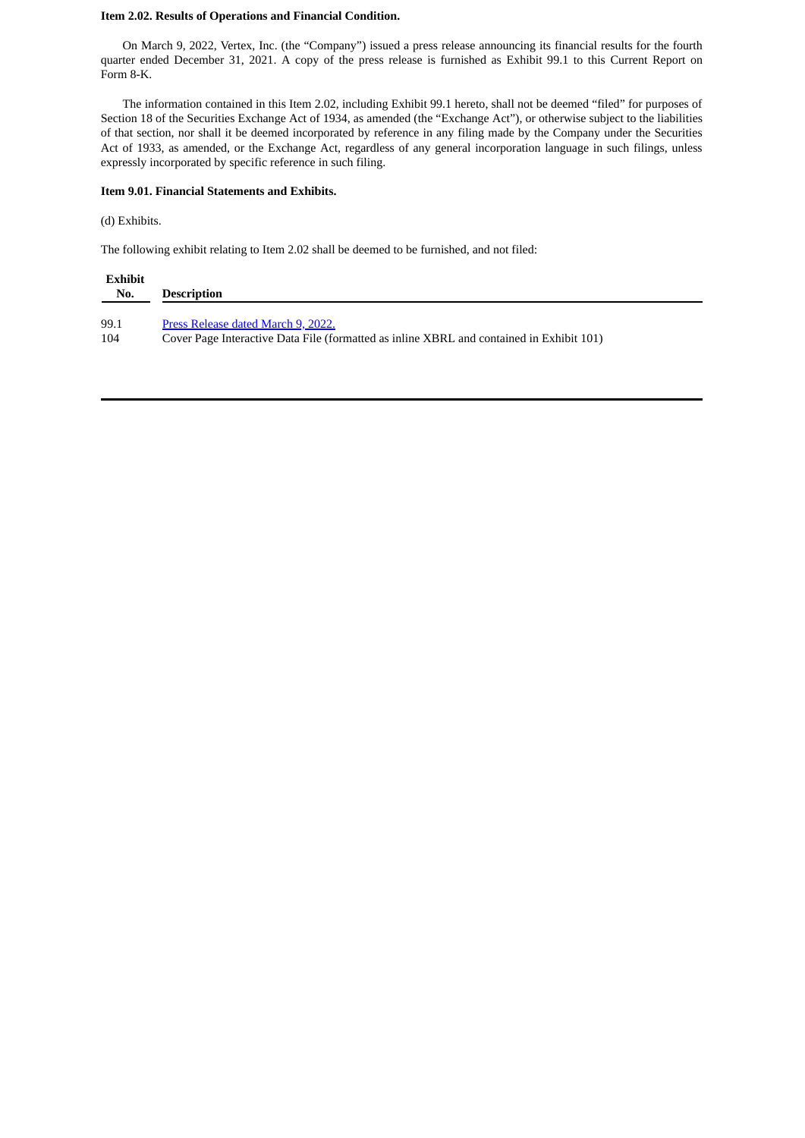## **Item 2.02. Results of Operations and Financial Condition.**

On March 9, 2022, Vertex, Inc. (the "Company") issued a press release announcing its financial results for the fourth quarter ended December 31, 2021. A copy of the press release is furnished as Exhibit 99.1 to this Current Report on Form 8-K.

The information contained in this Item 2.02, including Exhibit 99.1 hereto, shall not be deemed "filed" for purposes of Section 18 of the Securities Exchange Act of 1934, as amended (the "Exchange Act"), or otherwise subject to the liabilities of that section, nor shall it be deemed incorporated by reference in any filing made by the Company under the Securities Act of 1933, as amended, or the Exchange Act, regardless of any general incorporation language in such filings, unless expressly incorporated by specific reference in such filing.

#### **Item 9.01. Financial Statements and Exhibits.**

## (d) Exhibits.

The following exhibit relating to Item 2.02 shall be deemed to be furnished, and not filed:

| Exhibit |                                                                                          |
|---------|------------------------------------------------------------------------------------------|
| No.     | <b>Description</b>                                                                       |
| 99.1    | Press Release dated March 9, 2022.                                                       |
| 104     | Cover Page Interactive Data File (formatted as inline XBRL and contained in Exhibit 101) |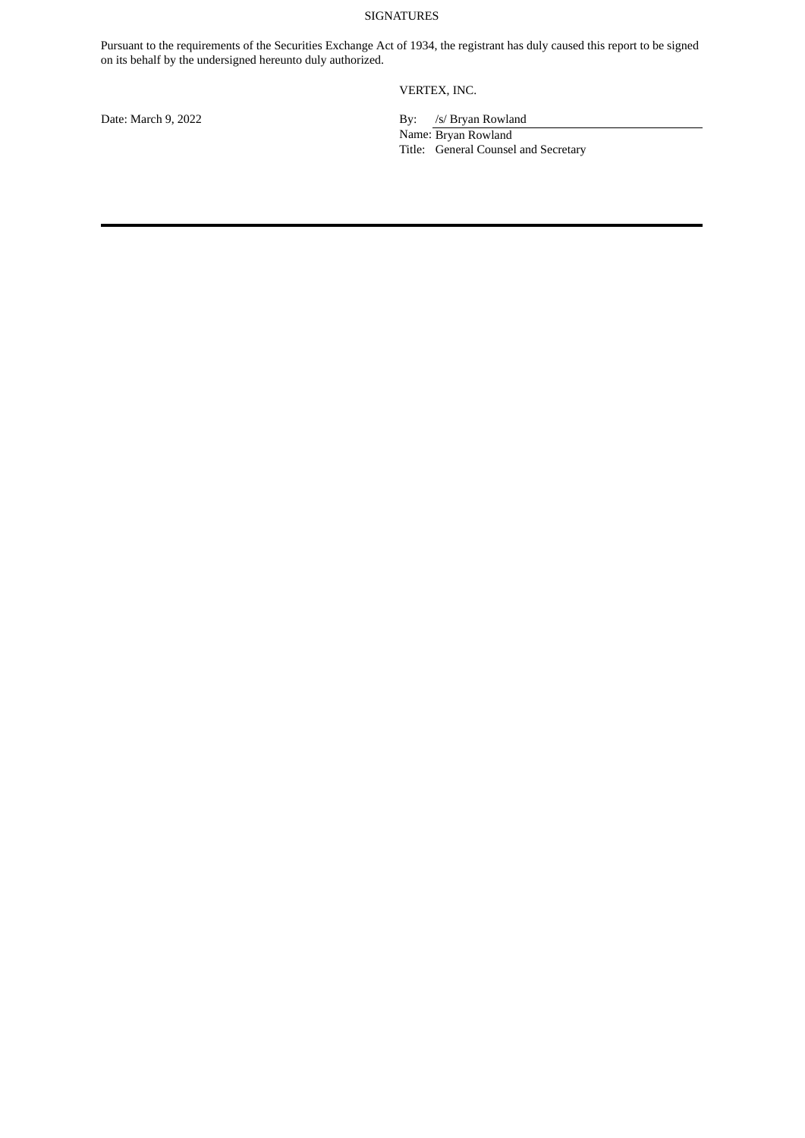# SIGNATURES

Pursuant to the requirements of the Securities Exchange Act of 1934, the registrant has duly caused this report to be signed on its behalf by the undersigned hereunto duly authorized.

VERTEX, INC.

Date: March 9, 2022 By: /s/ Bryan Rowland Name: Bryan Rowland Title: General Counsel and Secretary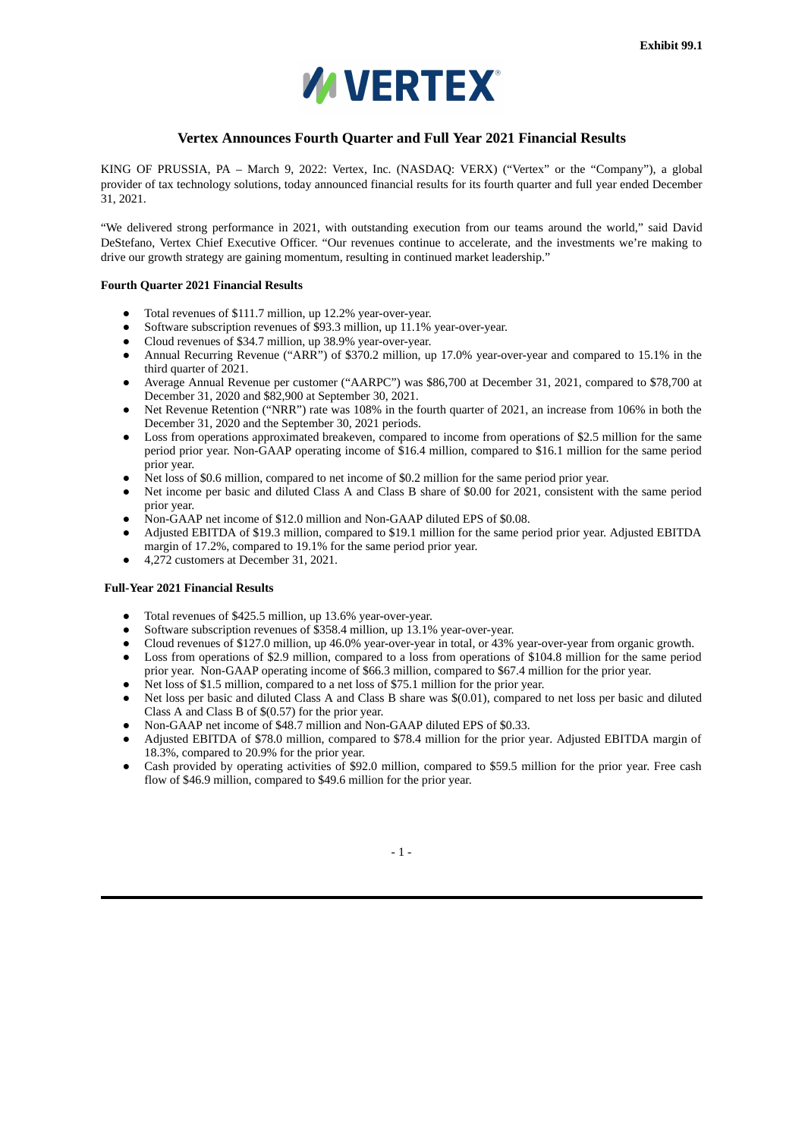

# **Vertex Announces Fourth Quarter and Full Year 2021 Financial Results**

<span id="page-3-0"></span>KING OF PRUSSIA, PA – March 9, 2022: Vertex, Inc. (NASDAQ: VERX) ("Vertex" or the "Company"), a global provider of tax technology solutions, today announced financial results for its fourth quarter and full year ended December 31, 2021.

"We delivered strong performance in 2021, with outstanding execution from our teams around the world," said David DeStefano, Vertex Chief Executive Officer. "Our revenues continue to accelerate, and the investments we're making to drive our growth strategy are gaining momentum, resulting in continued market leadership."

#### **Fourth Quarter 2021 Financial Results**

- Total revenues of \$111.7 million, up 12.2% year-over-year.
- Software subscription revenues of \$93.3 million, up 11.1% year-over-year.
- Cloud revenues of \$34.7 million, up 38.9% year-over-year.
- Annual Recurring Revenue ("ARR") of \$370.2 million, up 17.0% year-over-year and compared to 15.1% in the third quarter of 2021.
- Average Annual Revenue per customer ("AARPC") was \$86,700 at December 31, 2021, compared to \$78,700 at December 31, 2020 and \$82,900 at September 30, 2021.
- Net Revenue Retention ("NRR") rate was 108% in the fourth quarter of 2021, an increase from 106% in both the December 31, 2020 and the September 30, 2021 periods.
- Loss from operations approximated breakeven, compared to income from operations of \$2.5 million for the same period prior year. Non-GAAP operating income of \$16.4 million, compared to \$16.1 million for the same period prior year.
- Net loss of \$0.6 million, compared to net income of \$0.2 million for the same period prior year.
- Net income per basic and diluted Class A and Class B share of \$0.00 for 2021, consistent with the same period prior year.
- Non-GAAP net income of \$12.0 million and Non-GAAP diluted EPS of \$0.08.
- Adjusted EBITDA of \$19.3 million, compared to \$19.1 million for the same period prior year. Adjusted EBITDA margin of 17.2%, compared to 19.1% for the same period prior year.
- 4,272 customers at December 31, 2021.

# **Full-Year 2021 Financial Results**

- Total revenues of \$425.5 million, up 13.6% year-over-year.
- Software subscription revenues of \$358.4 million, up 13.1% year-over-year.
- Cloud revenues of \$127.0 million, up 46.0% year-over-year in total, or 43% year-over-year from organic growth.
- Loss from operations of \$2.9 million, compared to a loss from operations of \$104.8 million for the same period prior year. Non-GAAP operating income of \$66.3 million, compared to \$67.4 million for the prior year.
- Net loss of \$1.5 million, compared to a net loss of \$75.1 million for the prior year.
- Net loss per basic and diluted Class A and Class B share was \$(0.01), compared to net loss per basic and diluted Class A and Class B of \$(0.57) for the prior year.
- Non-GAAP net income of \$48.7 million and Non-GAAP diluted EPS of \$0.33.
- Adjusted EBITDA of \$78.0 million, compared to \$78.4 million for the prior year. Adjusted EBITDA margin of 18.3%, compared to 20.9% for the prior year.
- Cash provided by operating activities of \$92.0 million, compared to \$59.5 million for the prior year. Free cash flow of \$46.9 million, compared to \$49.6 million for the prior year.

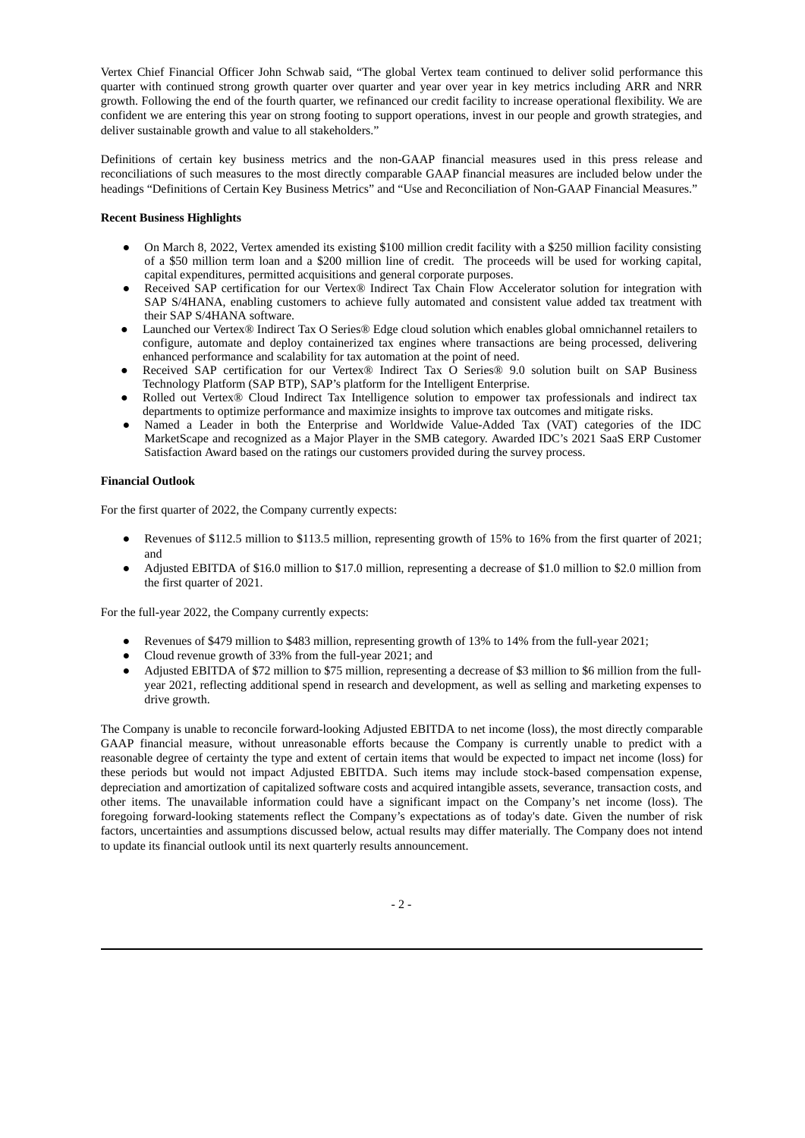Vertex Chief Financial Officer John Schwab said, "The global Vertex team continued to deliver solid performance this quarter with continued strong growth quarter over quarter and year over year in key metrics including ARR and NRR growth. Following the end of the fourth quarter, we refinanced our credit facility to increase operational flexibility. We are confident we are entering this year on strong footing to support operations, invest in our people and growth strategies, and deliver sustainable growth and value to all stakeholders."

Definitions of certain key business metrics and the non-GAAP financial measures used in this press release and reconciliations of such measures to the most directly comparable GAAP financial measures are included below under the headings "Definitions of Certain Key Business Metrics" and "Use and Reconciliation of Non-GAAP Financial Measures."

# **Recent Business Highlights**

- On March 8, 2022, Vertex amended its existing \$100 million credit facility with a \$250 million facility consisting of a \$50 million term loan and a \$200 million line of credit. The proceeds will be used for working capital, capital expenditures, permitted acquisitions and general corporate purposes.
- Received SAP certification for our Vertex® Indirect Tax Chain Flow Accelerator solution for integration with SAP S/4HANA, enabling customers to achieve fully automated and consistent value added tax treatment with their SAP S/4HANA software.
- Launched our Vertex® Indirect Tax O Series® Edge cloud solution which enables global omnichannel retailers to configure, automate and deploy containerized tax engines where transactions are being processed, delivering enhanced performance and scalability for tax automation at the point of need.
- Received SAP certification for our Vertex® Indirect Tax O Series® 9.0 solution built on SAP Business Technology Platform (SAP BTP), SAP's platform for the Intelligent Enterprise.
- Rolled out Vertex® Cloud Indirect Tax Intelligence solution to empower tax professionals and indirect tax departments to optimize performance and maximize insights to improve tax outcomes and mitigate risks.
- Named a Leader in both the Enterprise and Worldwide Value-Added Tax (VAT) categories of the IDC MarketScape and recognized as a Major Player in the SMB category. Awarded IDC's 2021 SaaS ERP Customer Satisfaction Award based on the ratings our customers provided during the survey process.

# **Financial Outlook**

For the first quarter of 2022, the Company currently expects:

- Revenues of \$112.5 million to \$113.5 million, representing growth of 15% to 16% from the first quarter of 2021; and
- Adjusted EBITDA of \$16.0 million to \$17.0 million, representing a decrease of \$1.0 million to \$2.0 million from the first quarter of 2021.

For the full-year 2022, the Company currently expects:

- Revenues of \$479 million to \$483 million, representing growth of 13% to 14% from the full-year 2021;
- Cloud revenue growth of 33% from the full-year 2021; and
- Adjusted EBITDA of \$72 million to \$75 million, representing a decrease of \$3 million to \$6 million from the fullyear 2021, reflecting additional spend in research and development, as well as selling and marketing expenses to drive growth.

The Company is unable to reconcile forward-looking Adjusted EBITDA to net income (loss), the most directly comparable GAAP financial measure, without unreasonable efforts because the Company is currently unable to predict with a reasonable degree of certainty the type and extent of certain items that would be expected to impact net income (loss) for these periods but would not impact Adjusted EBITDA. Such items may include stock-based compensation expense, depreciation and amortization of capitalized software costs and acquired intangible assets, severance, transaction costs, and other items. The unavailable information could have a significant impact on the Company's net income (loss). The foregoing forward-looking statements reflect the Company's expectations as of today's date. Given the number of risk factors, uncertainties and assumptions discussed below, actual results may differ materially. The Company does not intend to update its financial outlook until its next quarterly results announcement.

 $-2-$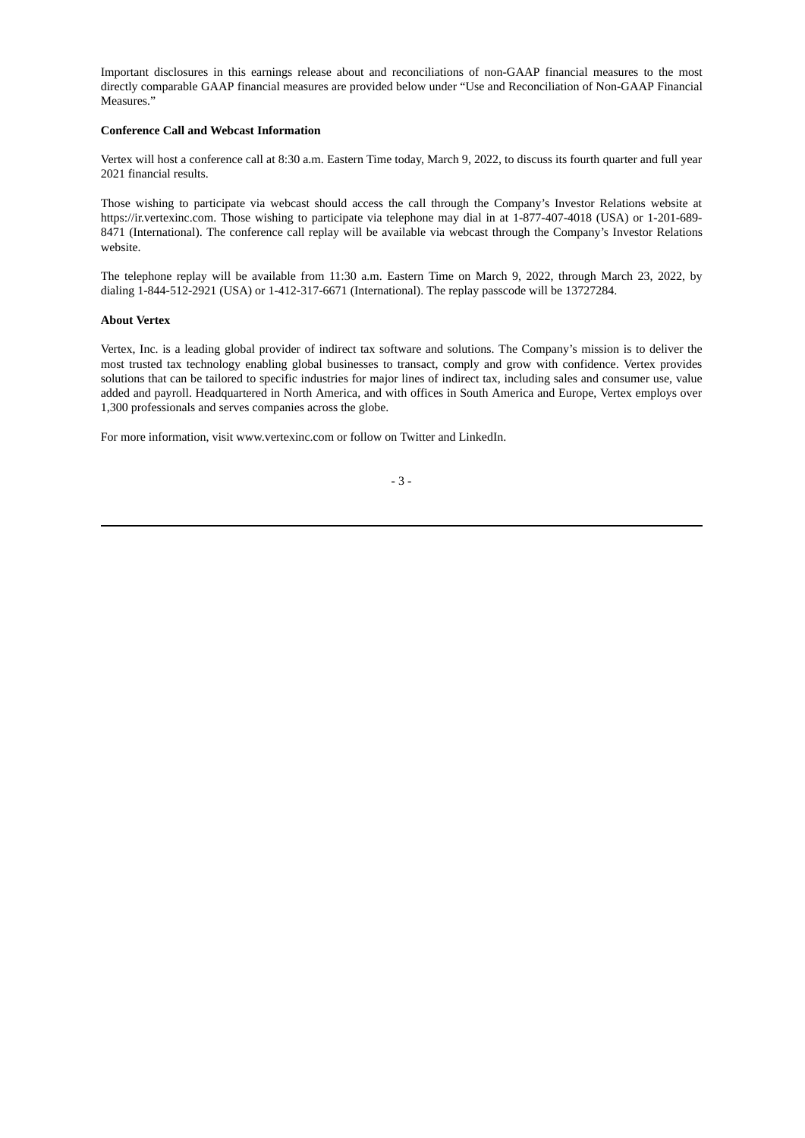Important disclosures in this earnings release about and reconciliations of non-GAAP financial measures to the most directly comparable GAAP financial measures are provided below under "Use and Reconciliation of Non-GAAP Financial Measures."

# **Conference Call and Webcast Information**

Vertex will host a conference call at 8:30 a.m. Eastern Time today, March 9, 2022, to discuss its fourth quarter and full year 2021 financial results.

Those wishing to participate via webcast should access the call through the Company's Investor Relations website at https://ir.vertexinc.com. Those wishing to participate via telephone may dial in at 1-877-407-4018 (USA) or 1-201-689- 8471 (International). The conference call replay will be available via webcast through the Company's Investor Relations website.

The telephone replay will be available from 11:30 a.m. Eastern Time on March 9, 2022, through March 23, 2022, by dialing 1-844-512-2921 (USA) or 1-412-317-6671 (International). The replay passcode will be 13727284.

## **About Vertex**

Vertex, Inc. is a leading global provider of indirect tax software and solutions. The Company's mission is to deliver the most trusted tax technology enabling global businesses to transact, comply and grow with confidence. Vertex provides solutions that can be tailored to specific industries for major lines of indirect tax, including sales and consumer use, value added and payroll. Headquartered in North America, and with offices in South America and Europe, Vertex employs over 1,300 professionals and serves companies across the globe.

For more information, visit www.vertexinc.com or follow on Twitter and LinkedIn.

$$
-3\; -
$$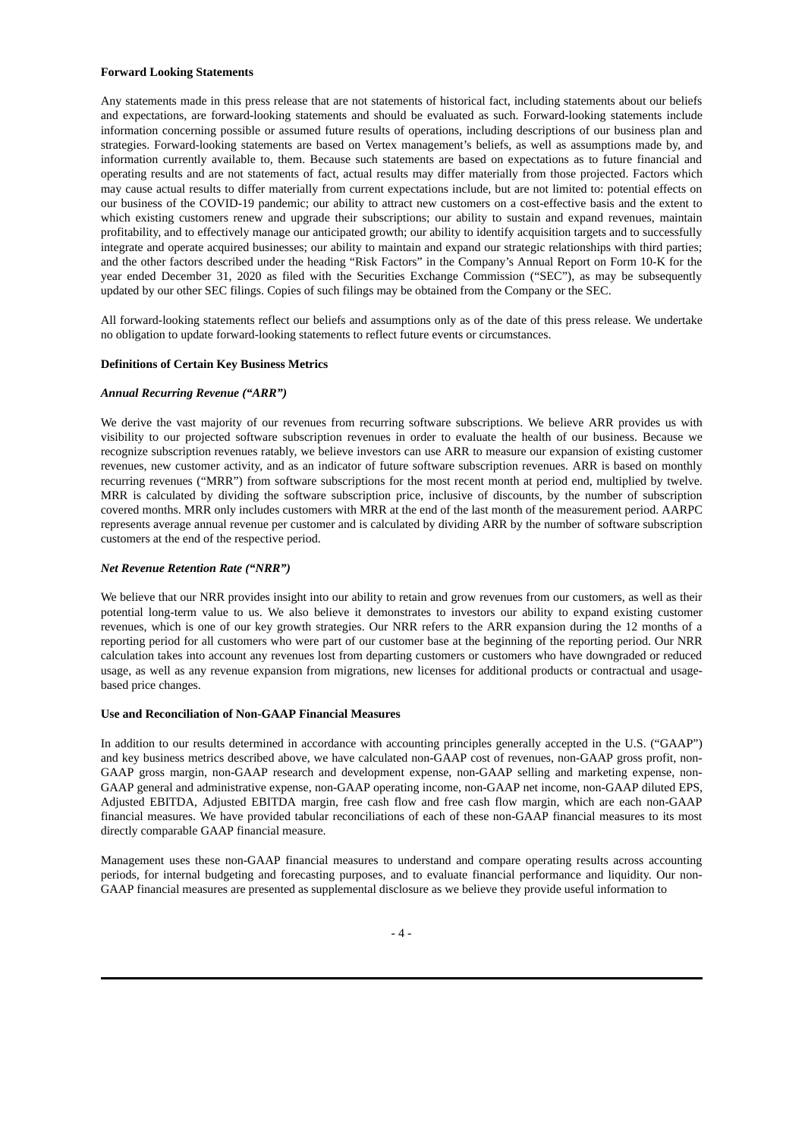#### **Forward Looking Statements**

Any statements made in this press release that are not statements of historical fact, including statements about our beliefs and expectations, are forward-looking statements and should be evaluated as such. Forward-looking statements include information concerning possible or assumed future results of operations, including descriptions of our business plan and strategies. Forward-looking statements are based on Vertex management's beliefs, as well as assumptions made by, and information currently available to, them. Because such statements are based on expectations as to future financial and operating results and are not statements of fact, actual results may differ materially from those projected. Factors which may cause actual results to differ materially from current expectations include, but are not limited to: potential effects on our business of the COVID-19 pandemic; our ability to attract new customers on a cost-effective basis and the extent to which existing customers renew and upgrade their subscriptions; our ability to sustain and expand revenues, maintain profitability, and to effectively manage our anticipated growth; our ability to identify acquisition targets and to successfully integrate and operate acquired businesses; our ability to maintain and expand our strategic relationships with third parties; and the other factors described under the heading "Risk Factors" in the Company's Annual Report on Form 10-K for the year ended December 31, 2020 as filed with the Securities Exchange Commission ("SEC"), as may be subsequently updated by our other SEC filings. Copies of such filings may be obtained from the Company or the SEC.

All forward-looking statements reflect our beliefs and assumptions only as of the date of this press release. We undertake no obligation to update forward-looking statements to reflect future events or circumstances.

#### **Definitions of Certain Key Business Metrics**

#### *Annual Recurring Revenue ("ARR")*

We derive the vast majority of our revenues from recurring software subscriptions. We believe ARR provides us with visibility to our projected software subscription revenues in order to evaluate the health of our business. Because we recognize subscription revenues ratably, we believe investors can use ARR to measure our expansion of existing customer revenues, new customer activity, and as an indicator of future software subscription revenues. ARR is based on monthly recurring revenues ("MRR") from software subscriptions for the most recent month at period end, multiplied by twelve. MRR is calculated by dividing the software subscription price, inclusive of discounts, by the number of subscription covered months. MRR only includes customers with MRR at the end of the last month of the measurement period. AARPC represents average annual revenue per customer and is calculated by dividing ARR by the number of software subscription customers at the end of the respective period.

#### *Net Revenue Retention Rate ("NRR")*

We believe that our NRR provides insight into our ability to retain and grow revenues from our customers, as well as their potential long-term value to us. We also believe it demonstrates to investors our ability to expand existing customer revenues, which is one of our key growth strategies. Our NRR refers to the ARR expansion during the 12 months of a reporting period for all customers who were part of our customer base at the beginning of the reporting period. Our NRR calculation takes into account any revenues lost from departing customers or customers who have downgraded or reduced usage, as well as any revenue expansion from migrations, new licenses for additional products or contractual and usagebased price changes.

#### **Use and Reconciliation of Non-GAAP Financial Measures**

In addition to our results determined in accordance with accounting principles generally accepted in the U.S. ("GAAP") and key business metrics described above, we have calculated non-GAAP cost of revenues, non-GAAP gross profit, non-GAAP gross margin, non-GAAP research and development expense, non-GAAP selling and marketing expense, non-GAAP general and administrative expense, non-GAAP operating income, non-GAAP net income, non-GAAP diluted EPS, Adjusted EBITDA, Adjusted EBITDA margin, free cash flow and free cash flow margin, which are each non-GAAP financial measures. We have provided tabular reconciliations of each of these non-GAAP financial measures to its most directly comparable GAAP financial measure.

Management uses these non-GAAP financial measures to understand and compare operating results across accounting periods, for internal budgeting and forecasting purposes, and to evaluate financial performance and liquidity. Our non-GAAP financial measures are presented as supplemental disclosure as we believe they provide useful information to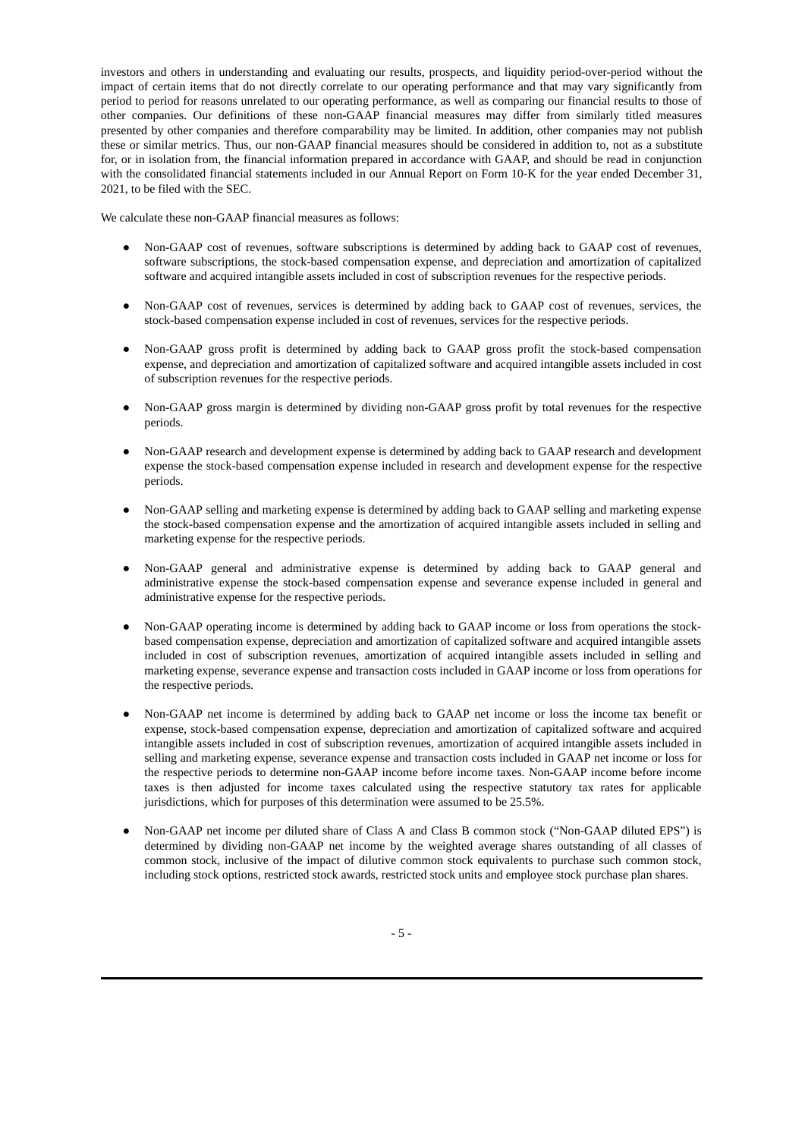investors and others in understanding and evaluating our results, prospects, and liquidity period-over-period without the impact of certain items that do not directly correlate to our operating performance and that may vary significantly from period to period for reasons unrelated to our operating performance, as well as comparing our financial results to those of other companies. Our definitions of these non-GAAP financial measures may differ from similarly titled measures presented by other companies and therefore comparability may be limited. In addition, other companies may not publish these or similar metrics. Thus, our non-GAAP financial measures should be considered in addition to, not as a substitute for, or in isolation from, the financial information prepared in accordance with GAAP, and should be read in conjunction with the consolidated financial statements included in our Annual Report on Form 10-K for the year ended December 31, 2021, to be filed with the SEC.

We calculate these non-GAAP financial measures as follows:

- Non-GAAP cost of revenues, software subscriptions is determined by adding back to GAAP cost of revenues, software subscriptions, the stock-based compensation expense, and depreciation and amortization of capitalized software and acquired intangible assets included in cost of subscription revenues for the respective periods.
- Non-GAAP cost of revenues, services is determined by adding back to GAAP cost of revenues, services, the stock-based compensation expense included in cost of revenues, services for the respective periods.
- Non-GAAP gross profit is determined by adding back to GAAP gross profit the stock-based compensation expense, and depreciation and amortization of capitalized software and acquired intangible assets included in cost of subscription revenues for the respective periods.
- Non-GAAP gross margin is determined by dividing non-GAAP gross profit by total revenues for the respective periods.
- Non-GAAP research and development expense is determined by adding back to GAAP research and development expense the stock-based compensation expense included in research and development expense for the respective periods.
- Non-GAAP selling and marketing expense is determined by adding back to GAAP selling and marketing expense the stock-based compensation expense and the amortization of acquired intangible assets included in selling and marketing expense for the respective periods.
- Non-GAAP general and administrative expense is determined by adding back to GAAP general and administrative expense the stock-based compensation expense and severance expense included in general and administrative expense for the respective periods.
- Non-GAAP operating income is determined by adding back to GAAP income or loss from operations the stockbased compensation expense, depreciation and amortization of capitalized software and acquired intangible assets included in cost of subscription revenues, amortization of acquired intangible assets included in selling and marketing expense, severance expense and transaction costs included in GAAP income or loss from operations for the respective periods.
- Non-GAAP net income is determined by adding back to GAAP net income or loss the income tax benefit or expense, stock-based compensation expense, depreciation and amortization of capitalized software and acquired intangible assets included in cost of subscription revenues, amortization of acquired intangible assets included in selling and marketing expense, severance expense and transaction costs included in GAAP net income or loss for the respective periods to determine non-GAAP income before income taxes. Non-GAAP income before income taxes is then adjusted for income taxes calculated using the respective statutory tax rates for applicable jurisdictions, which for purposes of this determination were assumed to be 25.5%.
- Non-GAAP net income per diluted share of Class A and Class B common stock ("Non-GAAP diluted EPS") is determined by dividing non-GAAP net income by the weighted average shares outstanding of all classes of common stock, inclusive of the impact of dilutive common stock equivalents to purchase such common stock, including stock options, restricted stock awards, restricted stock units and employee stock purchase plan shares.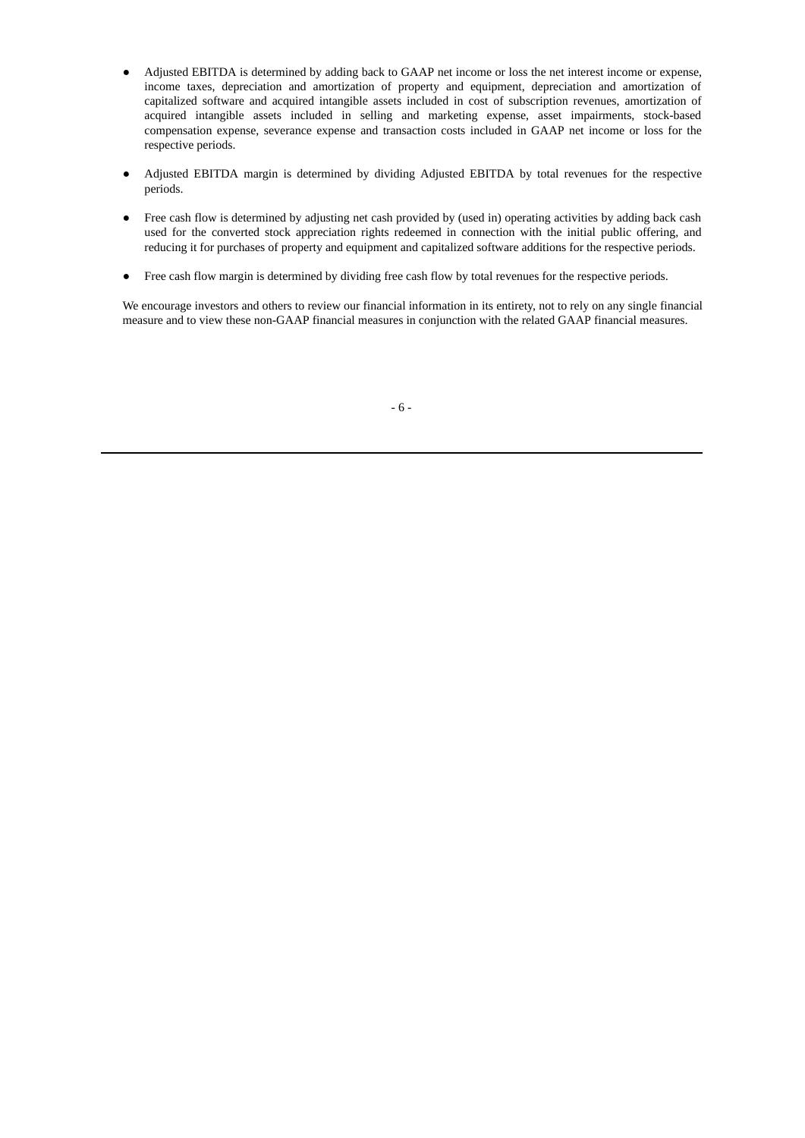- Adjusted EBITDA is determined by adding back to GAAP net income or loss the net interest income or expense, income taxes, depreciation and amortization of property and equipment, depreciation and amortization of capitalized software and acquired intangible assets included in cost of subscription revenues, amortization of acquired intangible assets included in selling and marketing expense, asset impairments, stock-based compensation expense, severance expense and transaction costs included in GAAP net income or loss for the respective periods.
- Adjusted EBITDA margin is determined by dividing Adjusted EBITDA by total revenues for the respective periods.
- Free cash flow is determined by adjusting net cash provided by (used in) operating activities by adding back cash used for the converted stock appreciation rights redeemed in connection with the initial public offering, and reducing it for purchases of property and equipment and capitalized software additions for the respective periods.
- Free cash flow margin is determined by dividing free cash flow by total revenues for the respective periods.

We encourage investors and others to review our financial information in its entirety, not to rely on any single financial measure and to view these non-GAAP financial measures in conjunction with the related GAAP financial measures.

- 6 -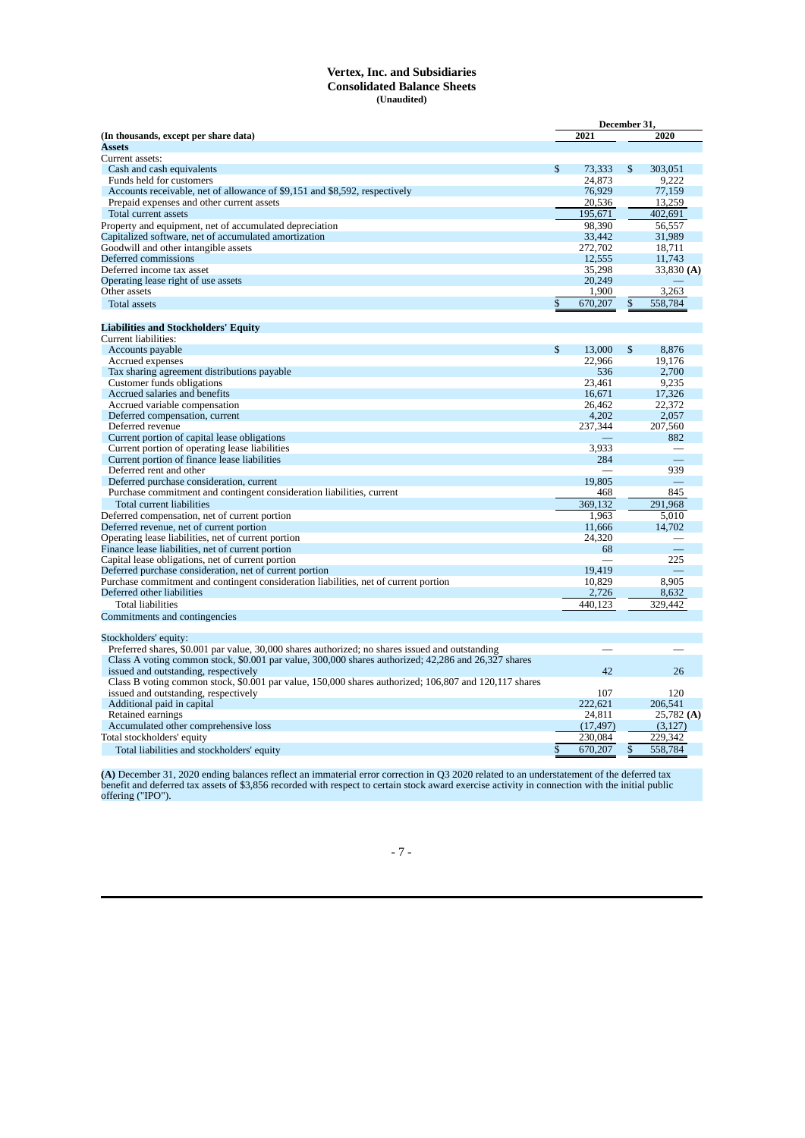#### **Vertex, Inc. and Subsidiaries Consolidated Balance Sheets (Unaudited)**

|                                                                                                                                             |              | December 31, |              |              |
|---------------------------------------------------------------------------------------------------------------------------------------------|--------------|--------------|--------------|--------------|
| (In thousands, except per share data)                                                                                                       |              | 2021         |              | 2020         |
| <b>Assets</b>                                                                                                                               |              |              |              |              |
| Current assets:                                                                                                                             |              |              |              |              |
| Cash and cash equivalents                                                                                                                   | \$           | 73,333       | \$           | 303,051      |
| Funds held for customers                                                                                                                    |              | 24,873       |              | 9.222        |
| Accounts receivable, net of allowance of \$9,151 and \$8,592, respectively                                                                  |              | 76,929       |              | 77,159       |
| Prepaid expenses and other current assets                                                                                                   |              | 20,536       |              | 13,259       |
| Total current assets                                                                                                                        |              | 195,671      |              | 402,691      |
| Property and equipment, net of accumulated depreciation                                                                                     |              | 98,390       |              | 56.557       |
| Capitalized software, net of accumulated amortization                                                                                       |              | 33,442       |              | 31,989       |
| Goodwill and other intangible assets                                                                                                        |              | 272,702      |              | 18.711       |
| Deferred commissions                                                                                                                        |              | 12,555       |              | 11,743       |
| Deferred income tax asset                                                                                                                   |              | 35,298       |              | 33,830 (A)   |
| Operating lease right of use assets                                                                                                         |              | 20,249       |              |              |
| Other assets                                                                                                                                |              | 1,900        |              | 3,263        |
| <b>Total assets</b>                                                                                                                         | \$           | 670,207      |              | 558.784      |
| <b>Liabilities and Stockholders' Equity</b>                                                                                                 |              |              |              |              |
| Current liabilities:                                                                                                                        |              |              |              |              |
| Accounts payable                                                                                                                            | $\mathbb{S}$ | 13,000       | $\mathbb{S}$ | 8.876        |
| Accrued expenses                                                                                                                            |              | 22,966       |              | 19,176       |
| Tax sharing agreement distributions payable                                                                                                 |              | 536          |              | 2,700        |
| Customer funds obligations                                                                                                                  |              | 23,461       |              | 9,235        |
| Accrued salaries and benefits                                                                                                               |              | 16,671       |              | 17,326       |
| Accrued variable compensation                                                                                                               |              | 26,462       |              | 22,372       |
| Deferred compensation, current                                                                                                              |              | 4,202        |              | 2,057        |
| Deferred revenue                                                                                                                            |              | 237,344      |              | 207,560      |
| Current portion of capital lease obligations                                                                                                |              |              |              | 882          |
| Current portion of operating lease liabilities                                                                                              |              | 3.933        |              |              |
| Current portion of finance lease liabilities                                                                                                |              | 284          |              |              |
| Deferred rent and other                                                                                                                     |              |              |              | 939          |
| Deferred purchase consideration, current                                                                                                    |              | 19,805       |              |              |
| Purchase commitment and contingent consideration liabilities, current                                                                       |              | 468          |              | 845          |
| Total current liabilities                                                                                                                   |              | 369.132      |              | 291.968      |
| Deferred compensation, net of current portion                                                                                               |              | 1,963        |              | 5,010        |
| Deferred revenue, net of current portion                                                                                                    |              | 11.666       |              | 14,702       |
| Operating lease liabilities, net of current portion                                                                                         |              | 24,320       |              |              |
| Finance lease liabilities, net of current portion                                                                                           |              | 68           |              |              |
| Capital lease obligations, net of current portion                                                                                           |              |              |              | 225          |
| Deferred purchase consideration, net of current portion                                                                                     |              | 19,419       |              |              |
| Purchase commitment and contingent consideration liabilities, net of current portion                                                        |              | 10,829       |              | 8,905        |
| Deferred other liabilities                                                                                                                  |              | 2,726        |              | 8,632        |
| <b>Total liabilities</b>                                                                                                                    |              | 440,123      |              | 329,442      |
| Commitments and contingencies                                                                                                               |              |              |              |              |
|                                                                                                                                             |              |              |              |              |
| Stockholders' equity:                                                                                                                       |              |              |              |              |
| Preferred shares, \$0.001 par value, 30,000 shares authorized; no shares issued and outstanding                                             |              |              |              |              |
| Class A voting common stock, \$0.001 par value, 300,000 shares authorized; 42,286 and 26,327 shares<br>issued and outstanding, respectively |              | 42           |              | 26           |
|                                                                                                                                             |              |              |              |              |
| Class B voting common stock, \$0.001 par value, 150,000 shares authorized; 106,807 and 120,117 shares                                       |              | 107          |              | 120          |
| issued and outstanding, respectively                                                                                                        |              | 222.621      |              | 206.541      |
| Additional paid in capital<br>Retained earnings                                                                                             |              | 24,811       |              | $25,782$ (A) |
| Accumulated other comprehensive loss                                                                                                        |              | (17, 497)    |              | (3, 127)     |
| Total stockholders' equity                                                                                                                  |              | 230,084      |              | 229,342      |
|                                                                                                                                             | \$           | 670,207      |              | 558,784      |
| Total liabilities and stockholders' equity                                                                                                  |              |              |              |              |
|                                                                                                                                             |              |              |              |              |

**(A)** December 31, 2020 ending balances reflect an immaterial error correction in Q3 2020 related to an understatement of the deferred tax benefit and deferred tax assets of \$3,856 recorded with respect to certain stock award exercise activity in connection with the initial public offering ("IPO").

- 7 -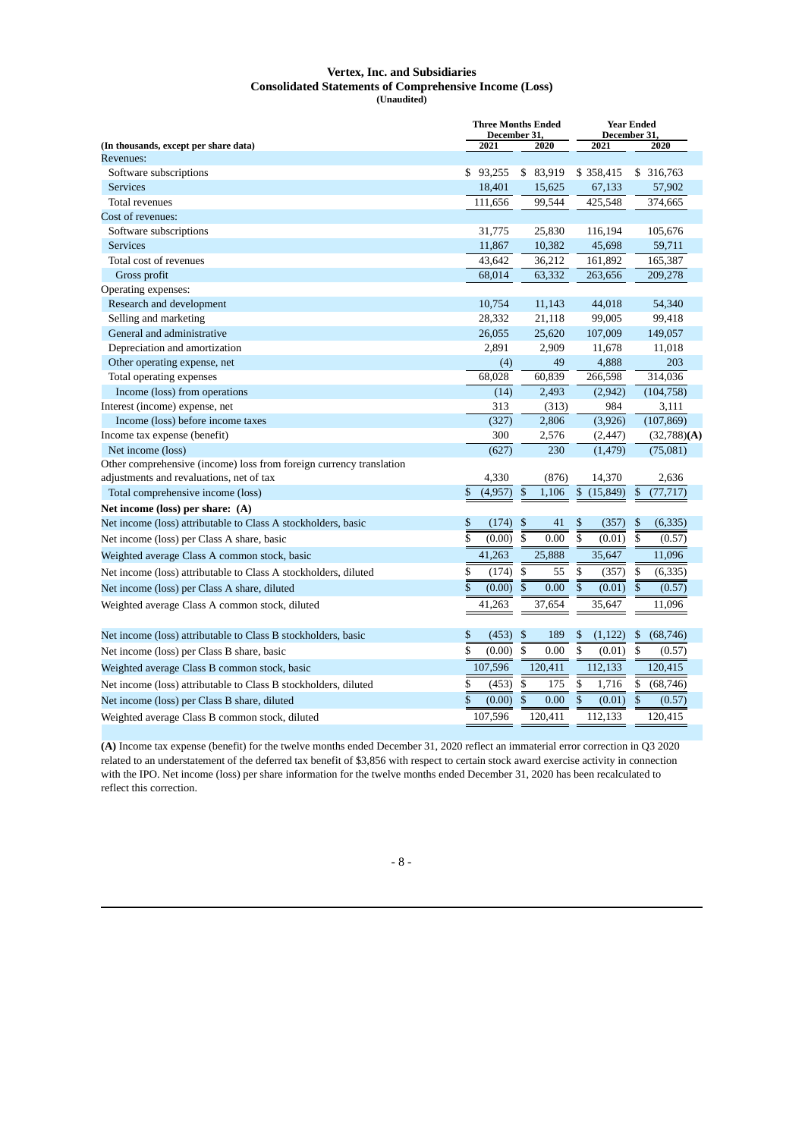#### **Vertex, Inc. and Subsidiaries Consolidated Statements of Comprehensive Income (Loss) (Unaudited)**

|                                                                                                                 | <b>Three Months Ended</b><br>December 31, |                                 | December 31.                      | <b>Year Ended</b>                   |
|-----------------------------------------------------------------------------------------------------------------|-------------------------------------------|---------------------------------|-----------------------------------|-------------------------------------|
| (In thousands, except per share data)<br>Revenues:                                                              | 2021                                      | 2020                            | 2021                              | 2020                                |
| Software subscriptions                                                                                          | \$93,255                                  | \$ 83,919                       | \$358,415                         | \$ 316,763                          |
| <b>Services</b>                                                                                                 | 18,401                                    | 15,625                          | 67,133                            | 57,902                              |
| Total revenues                                                                                                  | 111,656                                   | 99,544                          | 425,548                           | 374,665                             |
| Cost of revenues:                                                                                               |                                           |                                 |                                   |                                     |
| Software subscriptions                                                                                          | 31,775                                    | 25,830                          | 116,194                           | 105,676                             |
| <b>Services</b>                                                                                                 | 11,867                                    | 10,382                          | 45,698                            | 59,711                              |
| Total cost of revenues                                                                                          | 43,642                                    | 36,212                          | 161,892                           | 165,387                             |
| Gross profit                                                                                                    | 68,014                                    | 63,332                          | 263,656                           | 209,278                             |
| Operating expenses:                                                                                             |                                           |                                 |                                   |                                     |
| Research and development                                                                                        | 10,754                                    | 11,143                          | 44,018                            | 54,340                              |
| Selling and marketing                                                                                           | 28,332                                    | 21,118                          | 99,005                            | 99,418                              |
| General and administrative                                                                                      | 26,055                                    | 25,620                          | 107,009                           | 149,057                             |
| Depreciation and amortization                                                                                   | 2,891                                     | 2,909                           | 11,678                            | 11,018                              |
| Other operating expense, net                                                                                    | (4)                                       | 49                              | 4,888                             | 203                                 |
| Total operating expenses                                                                                        | 68,028                                    | 60,839                          | 266,598                           | 314,036                             |
| Income (loss) from operations                                                                                   | (14)                                      | 2,493                           | (2,942)                           | (104, 758)                          |
| Interest (income) expense, net                                                                                  | 313                                       | (313)                           | 984                               | 3,111                               |
| Income (loss) before income taxes                                                                               | (327)                                     | 2,806                           | (3,926)                           | (107, 869)                          |
| Income tax expense (benefit)                                                                                    | 300                                       | 2,576                           | (2, 447)                          | (32,788)(A)                         |
| Net income (loss)                                                                                               | (627)                                     | 230                             | (1, 479)                          | (75,081)                            |
| Other comprehensive (income) loss from foreign currency translation<br>adjustments and revaluations, net of tax | 4,330                                     | (876)                           | 14,370                            | 2,636                               |
| Total comprehensive income (loss)                                                                               | \$<br>(4,957)                             | \$<br>1,106                     | \$<br>(15, 849)                   | \$<br>(77, 717)                     |
| Net income (loss) per share: (A)                                                                                |                                           |                                 |                                   |                                     |
| Net income (loss) attributable to Class A stockholders, basic                                                   | \$<br>(174)                               | \$<br>41                        | \$<br>(357)                       | (6, 335)<br>\$                      |
| Net income (loss) per Class A share, basic                                                                      | (0.00)                                    | $\overline{\mathbb{S}}$<br>0.00 | (0.01)                            | $\overline{\mathbf{s}}$<br>(0.57)   |
| Weighted average Class A common stock, basic                                                                    | 41,263                                    | 25,888                          | 35,647                            | 11,096                              |
| Net income (loss) attributable to Class A stockholders, diluted                                                 | \$<br>(174)                               | 55<br>\$                        | \$<br>(357)                       | (6, 335)<br>\$                      |
| Net income (loss) per Class A share, diluted                                                                    | \$<br>(0.00)                              | \$<br>0.00                      | $\overline{\mathbb{S}}$<br>(0.01) | \$<br>(0.57)                        |
|                                                                                                                 | 41,263                                    | 37,654                          | 35,647                            | 11,096                              |
| Weighted average Class A common stock, diluted                                                                  |                                           |                                 |                                   |                                     |
| Net income (loss) attributable to Class B stockholders, basic                                                   | \$<br>(453)                               | \$<br>189                       | \$<br>(1, 122)                    | (68, 746)<br>\$                     |
| Net income (loss) per Class B share, basic                                                                      | \$<br>(0.00)                              | \$<br>0.00                      | $\overline{\$}$<br>(0.01)         | $\overline{\mathbb{S}}$<br>(0.57)   |
| Weighted average Class B common stock, basic                                                                    | 107,596                                   | 120,411                         | 112,133                           | 120,415                             |
| Net income (loss) attributable to Class B stockholders, diluted                                                 | \$<br>(453)                               | \$<br>175                       | \$<br>1,716                       | \$<br>(68, 746)                     |
| Net income (loss) per Class B share, diluted                                                                    | \$<br>(0.00)                              | \$<br>0.00                      | \$<br>(0.01)                      | $\boldsymbol{\mathsf{S}}$<br>(0.57) |
| Weighted average Class B common stock, diluted                                                                  | 107,596                                   | 120,411                         | 112,133                           | 120,415                             |

**(A)** Income tax expense (benefit) for the twelve months ended December 31, 2020 reflect an immaterial error correction in Q3 2020 related to an understatement of the deferred tax benefit of \$3,856 with respect to certain stock award exercise activity in connection with the IPO. Net income (loss) per share information for the twelve months ended December 31, 2020 has been recalculated to reflect this correction.

- 8 -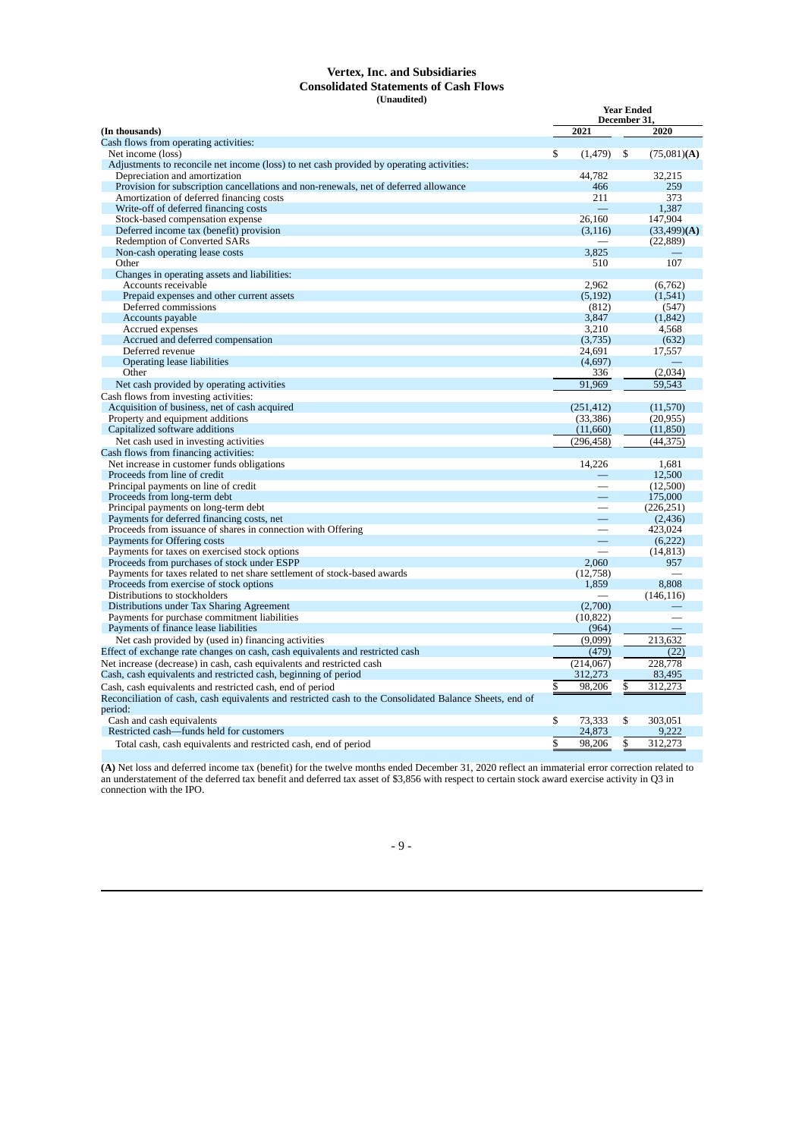#### **Vertex, Inc. and Subsidiaries Consolidated Statements of Cash Flows (Unaudited)**

|                                                                                                         | <b>Year Ended</b><br>December 31 |            |    |                |
|---------------------------------------------------------------------------------------------------------|----------------------------------|------------|----|----------------|
| (In thousands)                                                                                          |                                  | 2021       |    | 2020           |
| Cash flows from operating activities:                                                                   |                                  |            |    |                |
| Net income (loss)                                                                                       | \$                               | (1, 479)   | \$ | $(75,081)$ (A) |
| Adjustments to reconcile net income (loss) to net cash provided by operating activities:                |                                  |            |    |                |
| Depreciation and amortization                                                                           |                                  | 44,782     |    | 32,215         |
| Provision for subscription cancellations and non-renewals, net of deferred allowance                    |                                  | 466        |    | 259            |
| Amortization of deferred financing costs                                                                |                                  | 211        |    | 373            |
| Write-off of deferred financing costs                                                                   |                                  |            |    | 1,387          |
| Stock-based compensation expense                                                                        |                                  | 26,160     |    | 147,904        |
| Deferred income tax (benefit) provision                                                                 |                                  | (3, 116)   |    | (33, 499)(A)   |
| Redemption of Converted SARs                                                                            |                                  |            |    | (22, 889)      |
| Non-cash operating lease costs                                                                          |                                  | 3,825      |    |                |
| Other                                                                                                   |                                  | 510        |    | 107            |
| Changes in operating assets and liabilities:                                                            |                                  |            |    |                |
| Accounts receivable                                                                                     |                                  | 2.962      |    | (6, 762)       |
| Prepaid expenses and other current assets                                                               |                                  | (5, 192)   |    | (1, 541)       |
| Deferred commissions                                                                                    |                                  | (812)      |    | (547)          |
| Accounts payable                                                                                        |                                  | 3,847      |    | (1, 842)       |
| Accrued expenses                                                                                        |                                  | 3,210      |    | 4,568          |
| Accrued and deferred compensation                                                                       |                                  | (3,735)    |    | (632)          |
| Deferred revenue                                                                                        |                                  | 24,691     |    | 17,557         |
| <b>Operating lease liabilities</b>                                                                      |                                  | (4,697)    |    |                |
| Other                                                                                                   |                                  | 336        |    | (2,034)        |
| Net cash provided by operating activities                                                               |                                  | 91,969     |    | 59,543         |
| Cash flows from investing activities:                                                                   |                                  |            |    |                |
| Acquisition of business, net of cash acquired                                                           |                                  | (251, 412) |    | (11,570)       |
| Property and equipment additions                                                                        |                                  | (33,386)   |    | (20, 955)      |
| Capitalized software additions                                                                          |                                  | (11,660)   |    | (11, 850)      |
| Net cash used in investing activities                                                                   |                                  | (296, 458) |    | (44, 375)      |
| Cash flows from financing activities:                                                                   |                                  |            |    |                |
| Net increase in customer funds obligations                                                              |                                  | 14,226     |    | 1.681          |
| Proceeds from line of credit                                                                            |                                  |            |    | 12,500         |
| Principal payments on line of credit                                                                    |                                  |            |    | (12,500)       |
| Proceeds from long-term debt                                                                            |                                  |            |    | 175,000        |
| Principal payments on long-term debt                                                                    |                                  |            |    | (226, 251)     |
| Payments for deferred financing costs, net                                                              |                                  |            |    | (2, 436)       |
| Proceeds from issuance of shares in connection with Offering                                            |                                  |            |    | 423,024        |
| Payments for Offering costs                                                                             |                                  |            |    | (6, 222)       |
| Payments for taxes on exercised stock options                                                           |                                  |            |    | (14, 813)      |
| Proceeds from purchases of stock under ESPP                                                             |                                  | 2,060      |    | 957            |
| Payments for taxes related to net share settlement of stock-based awards                                |                                  | (12,758)   |    |                |
| Proceeds from exercise of stock options                                                                 |                                  | 1,859      |    | 8,808          |
| Distributions to stockholders                                                                           |                                  |            |    | (146, 116)     |
| Distributions under Tax Sharing Agreement                                                               |                                  | (2,700)    |    |                |
| Payments for purchase commitment liabilities                                                            |                                  | (10, 822)  |    |                |
| Payments of finance lease liabilities                                                                   |                                  | (964)      |    |                |
| Net cash provided by (used in) financing activities                                                     |                                  | (9,099)    |    | 213,632        |
| Effect of exchange rate changes on cash, cash equivalents and restricted cash                           |                                  | (479)      |    | (22)           |
| Net increase (decrease) in cash, cash equivalents and restricted cash                                   |                                  | (214,067)  |    | 228,778        |
| Cash, cash equivalents and restricted cash, beginning of period                                         |                                  | 312,273    |    | 83,495         |
| Cash, cash equivalents and restricted cash, end of period                                               | \$                               | 98,206     | \$ | 312,273        |
| Reconciliation of cash, cash equivalents and restricted cash to the Consolidated Balance Sheets, end of |                                  |            |    |                |
| period:                                                                                                 |                                  |            |    |                |
| Cash and cash equivalents                                                                               | \$                               | 73,333     | \$ | 303,051        |
| Restricted cash—funds held for customers                                                                |                                  | 24,873     |    | 9,222          |
| Total cash, cash equivalents and restricted cash, end of period                                         | \$                               | 98,206     | \$ | 312,273        |

**(A)** Net loss and deferred income tax (benefit) for the twelve months ended December 31, 2020 reflect an immaterial error correction related to an understatement of the deferred tax benefit and deferred tax asset of \$3,856 with respect to certain stock award exercise activity in Q3 in connection with the IPO.

- 9 -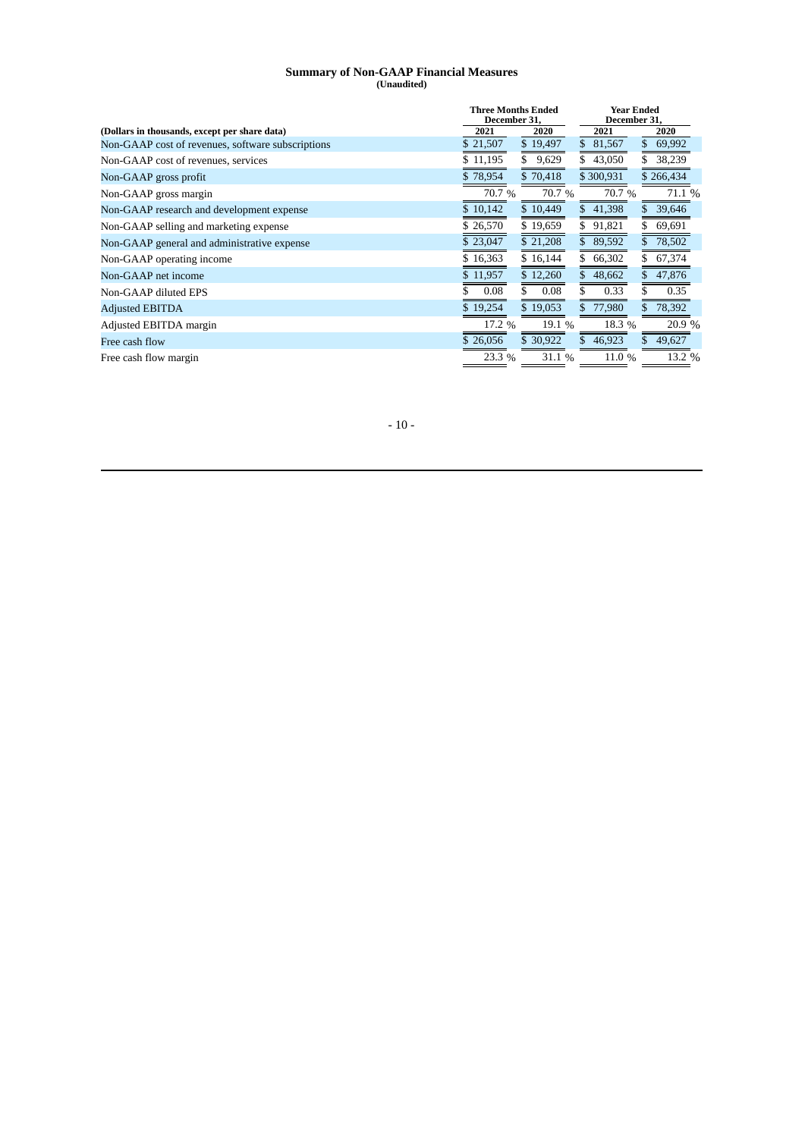#### **Summary of Non-GAAP Financial Measures (Unaudited)**

|                                                   |          | <b>Three Months Ended</b><br>December 31. |               | <b>Year Ended</b><br>December 31, |
|---------------------------------------------------|----------|-------------------------------------------|---------------|-----------------------------------|
| (Dollars in thousands, except per share data)     | 2021     | 2020                                      | 2021          | 2020                              |
| Non-GAAP cost of revenues, software subscriptions | \$21,507 | \$19,497                                  | \$<br>81,567  | 69,992                            |
| Non-GAAP cost of revenues, services               | \$11,195 | 9,629<br>\$                               | 43,050        | 38,239                            |
| Non-GAAP gross profit                             | \$78,954 | \$70,418                                  | \$300,931     | \$266,434                         |
| Non-GAAP gross margin                             | 70.7%    | 70.7%                                     | 70.7 %        | 71.1 %                            |
| Non-GAAP research and development expense         | \$10,142 | \$10,449                                  | 41,398        | 39,646                            |
| Non-GAAP selling and marketing expense            | \$26,570 | \$19,659                                  | \$.<br>91,821 | 69,691                            |
| Non-GAAP general and administrative expense       | \$23,047 | \$21,208                                  | \$89,592      | 78,502                            |
| Non-GAAP operating income                         | \$16,363 | \$16,144                                  | \$66,302      | 67,374                            |
| Non-GAAP net income                               | \$11,957 | \$12,260                                  | \$<br>48,662  | 47,876<br>\$                      |
| Non-GAAP diluted EPS                              | 0.08     | \$<br>0.08                                | 0.33          | 0.35                              |
| <b>Adjusted EBITDA</b>                            | \$19,254 | \$19,053                                  | 77,980<br>\$. | 78,392                            |
| Adjusted EBITDA margin                            | 17.2 %   | 19.1 %                                    | 18.3 %        | 20.9 %                            |
| Free cash flow                                    | \$26,056 | \$30,922                                  | 46,923<br>S.  | 49,627                            |
| Free cash flow margin                             | 23.3 %   | 31.1 %                                    | 11.0 $%$      | 13.2 %                            |

- 10 -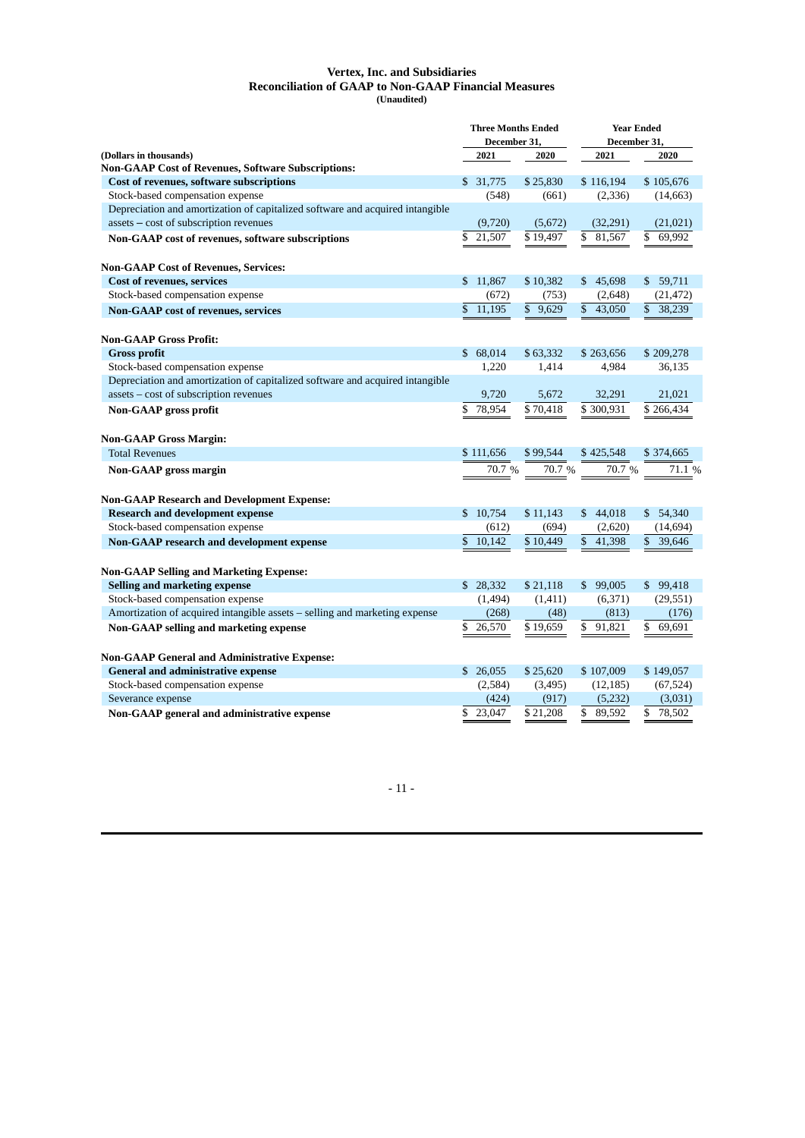#### **Vertex, Inc. and Subsidiaries Reconciliation of GAAP to Non-GAAP Financial Measures (Unaudited)**

|                                                                               |                         | <b>Three Months Ended</b><br><b>Year Ended</b><br>December 31<br>December 31 |                           |                        |  |  |
|-------------------------------------------------------------------------------|-------------------------|------------------------------------------------------------------------------|---------------------------|------------------------|--|--|
| (Dollars in thousands)                                                        | 2021                    | 2020                                                                         | 2021                      | 2020                   |  |  |
| <b>Non-GAAP Cost of Revenues, Software Subscriptions:</b>                     |                         |                                                                              |                           |                        |  |  |
| Cost of revenues, software subscriptions                                      | \$31,775                | \$25,830                                                                     | \$116,194                 | \$105,676              |  |  |
| Stock-based compensation expense                                              | (548)                   | (661)                                                                        | (2, 336)                  | (14, 663)              |  |  |
| Depreciation and amortization of capitalized software and acquired intangible |                         |                                                                              |                           |                        |  |  |
| assets - cost of subscription revenues                                        | (9,720)<br>\$<br>21,507 | (5,672)                                                                      | (32, 291)<br>$\mathbb{S}$ | (21, 021)<br>\$        |  |  |
| Non-GAAP cost of revenues, software subscriptions                             |                         | \$19,497                                                                     | 81,567                    | 69,992                 |  |  |
| <b>Non-GAAP Cost of Revenues, Services:</b>                                   |                         |                                                                              |                           |                        |  |  |
| <b>Cost of revenues, services</b>                                             | \$11,867                | \$10,382                                                                     | \$45,698                  | \$59,711               |  |  |
| Stock-based compensation expense                                              | (672)                   | (753)                                                                        | (2,648)                   | (21,472)               |  |  |
| <b>Non-GAAP</b> cost of revenues, services                                    | $\mathbb{S}$<br>11,195  | \$9,629                                                                      | \$43,050                  | $\mathbb{S}$<br>38,239 |  |  |
| <b>Non-GAAP Gross Profit:</b>                                                 |                         |                                                                              |                           |                        |  |  |
| <b>Gross profit</b>                                                           | \$68,014                | \$63,332                                                                     | \$263,656                 | \$209,278              |  |  |
| Stock-based compensation expense                                              | 1,220                   | 1,414                                                                        | 4,984                     | 36,135                 |  |  |
| Depreciation and amortization of capitalized software and acquired intangible |                         |                                                                              |                           |                        |  |  |
| assets - cost of subscription revenues                                        | 9,720                   | 5,672                                                                        | 32,291                    | 21,021                 |  |  |
| Non-GAAP gross profit                                                         | \$<br>78,954            | \$70,418                                                                     | \$300,931                 | \$266,434              |  |  |
|                                                                               |                         |                                                                              |                           |                        |  |  |
| <b>Non-GAAP Gross Margin:</b><br><b>Total Revenues</b>                        | \$111,656               | \$99,544                                                                     | \$425,548                 | \$374,665              |  |  |
|                                                                               |                         |                                                                              |                           |                        |  |  |
| <b>Non-GAAP</b> gross margin                                                  | 70.7 %                  | 70.7 %                                                                       | 70.7 %                    | 71.1 %                 |  |  |
| <b>Non-GAAP Research and Development Expense:</b>                             |                         |                                                                              |                           |                        |  |  |
| <b>Research and development expense</b>                                       | \$10,754                | \$11,143                                                                     | \$44,018                  | \$54,340               |  |  |
| Stock-based compensation expense                                              | (612)                   | (694)                                                                        | (2,620)                   | (14, 694)              |  |  |
| Non-GAAP research and development expense                                     | \$10,142                | \$10,449                                                                     | $\mathbb{S}$<br>41,398    | \$<br>39,646           |  |  |
| <b>Non-GAAP Selling and Marketing Expense:</b>                                |                         |                                                                              |                           |                        |  |  |
| <b>Selling and marketing expense</b>                                          | \$28,332                | \$21,118                                                                     | \$99,005                  | \$99,418               |  |  |
| Stock-based compensation expense                                              | (1,494)                 | (1,411)                                                                      | (6,371)                   | (29, 551)              |  |  |
| Amortization of acquired intangible assets - selling and marketing expense    | (268)                   | (48)                                                                         | (813)                     | (176)                  |  |  |
| Non-GAAP selling and marketing expense                                        | \$<br>26,570            | \$19,659                                                                     | \$<br>91.821              | \$<br>69.691           |  |  |
|                                                                               |                         |                                                                              |                           |                        |  |  |
| <b>Non-GAAP General and Administrative Expense:</b>                           |                         |                                                                              |                           |                        |  |  |
| <b>General and administrative expense</b>                                     | \$26,055                | \$25,620                                                                     | \$107,009                 | \$149,057              |  |  |
| Stock-based compensation expense                                              | (2,584)<br>(424)        | (3, 495)<br>(917)                                                            | (12, 185)                 | (67, 524)<br>(3,031)   |  |  |
| Severance expense                                                             | 23,047<br>\$            | $\sqrt{21,208}$                                                              | (5,232)<br>\$<br>89,592   | \$<br>78,502           |  |  |
| Non-GAAP general and administrative expense                                   |                         |                                                                              |                           |                        |  |  |

 $\sim 11$  -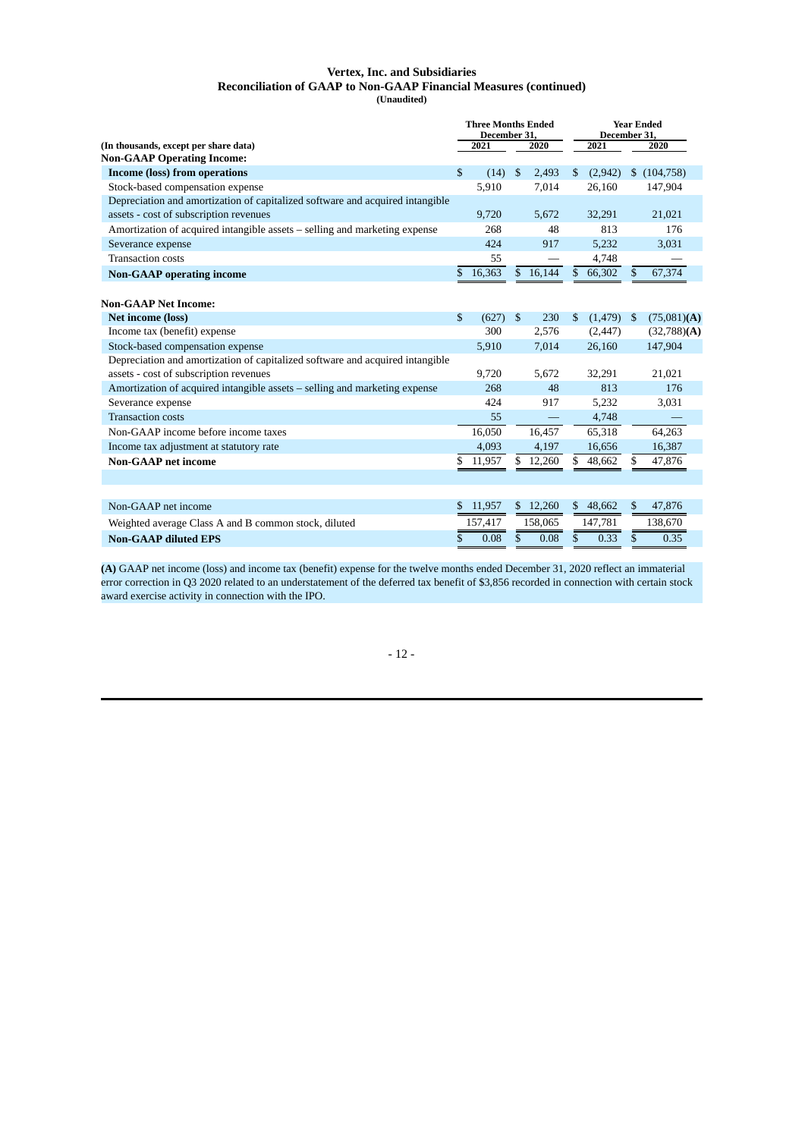#### **Vertex, Inc. and Subsidiaries Reconciliation of GAAP to Non-GAAP Financial Measures (continued) (Unaudited)**

|                                                                               | <b>Three Months Ended</b><br>December 31, |         |                |                          | <b>Year Ended</b><br>December 31, |          |              |                |  |
|-------------------------------------------------------------------------------|-------------------------------------------|---------|----------------|--------------------------|-----------------------------------|----------|--------------|----------------|--|
| (In thousands, except per share data)<br><b>Non-GAAP Operating Income:</b>    |                                           | 2021    |                | 2020                     |                                   | 2021     |              | 2020           |  |
| Income (loss) from operations                                                 | \$                                        | (14)    | $\mathfrak{F}$ | 2,493                    | $\mathbb{S}$                      | (2,942)  | \$           | (104, 758)     |  |
| Stock-based compensation expense                                              |                                           | 5,910   |                | 7,014                    |                                   | 26,160   |              | 147,904        |  |
| Depreciation and amortization of capitalized software and acquired intangible |                                           |         |                |                          |                                   |          |              |                |  |
| assets - cost of subscription revenues                                        |                                           | 9,720   |                | 5,672                    |                                   | 32,291   |              | 21,021         |  |
| Amortization of acquired intangible assets – selling and marketing expense    |                                           | 268     |                | 48                       |                                   | 813      |              | 176            |  |
| Severance expense                                                             |                                           | 424     |                | 917                      |                                   | 5.232    |              | 3.031          |  |
| <b>Transaction costs</b>                                                      |                                           | 55      |                |                          |                                   | 4,748    |              |                |  |
| <b>Non-GAAP</b> operating income                                              | \$                                        | 16,363  |                | \$16,144                 | $\mathbb{S}$                      | 66,302   | $\mathbb{S}$ | 67,374         |  |
|                                                                               |                                           |         |                |                          |                                   |          |              |                |  |
| <b>Non-GAAP Net Income:</b>                                                   |                                           |         |                |                          |                                   |          |              |                |  |
| Net income (loss)                                                             | \$                                        | (627)   | $\mathfrak{F}$ | 230                      | $\mathbb{S}$                      | (1, 479) | \$           | $(75,081)$ (A) |  |
| Income tax (benefit) expense                                                  |                                           | 300     |                | 2,576                    |                                   | (2, 447) |              | (32,788)(A)    |  |
| Stock-based compensation expense                                              |                                           | 5,910   |                | 7,014                    |                                   | 26,160   |              | 147,904        |  |
| Depreciation and amortization of capitalized software and acquired intangible |                                           |         |                |                          |                                   |          |              |                |  |
| assets - cost of subscription revenues                                        |                                           | 9.720   |                | 5.672                    |                                   | 32,291   |              | 21,021         |  |
| Amortization of acquired intangible assets – selling and marketing expense    |                                           | 268     |                | 48                       |                                   | 813      |              | 176            |  |
| Severance expense                                                             |                                           | 424     |                | 917                      |                                   | 5,232    |              | 3,031          |  |
| <b>Transaction costs</b>                                                      |                                           | 55      |                | $\overline{\phantom{0}}$ |                                   | 4,748    |              |                |  |
| Non-GAAP income before income taxes                                           |                                           | 16,050  |                | 16,457                   |                                   | 65,318   |              | 64,263         |  |
| Income tax adjustment at statutory rate                                       |                                           | 4,093   |                | 4,197                    |                                   | 16,656   |              | 16,387         |  |
| <b>Non-GAAP</b> net income                                                    | \$                                        | 11,957  |                | \$12,260                 | \$                                | 48,662   | \$           | 47,876         |  |
|                                                                               |                                           |         |                |                          |                                   |          |              |                |  |
| Non-GAAP net income                                                           | S                                         | 11,957  |                | \$12,260                 | $\mathbb{S}$                      | 48,662   | \$           | 47,876         |  |
| Weighted average Class A and B common stock, diluted                          |                                           | 157,417 |                | 158,065                  |                                   | 147,781  |              | 138,670        |  |
| <b>Non-GAAP diluted EPS</b>                                                   | \$                                        | 0.08    | \$             | 0.08                     | \$                                | 0.33     | \$           | 0.35           |  |

**(A)** GAAP net income (loss) and income tax (benefit) expense for the twelve months ended December 31, 2020 reflect an immaterial error correction in Q3 2020 related to an understatement of the deferred tax benefit of \$3,856 recorded in connection with certain stock award exercise activity in connection with the IPO.

- 12 -